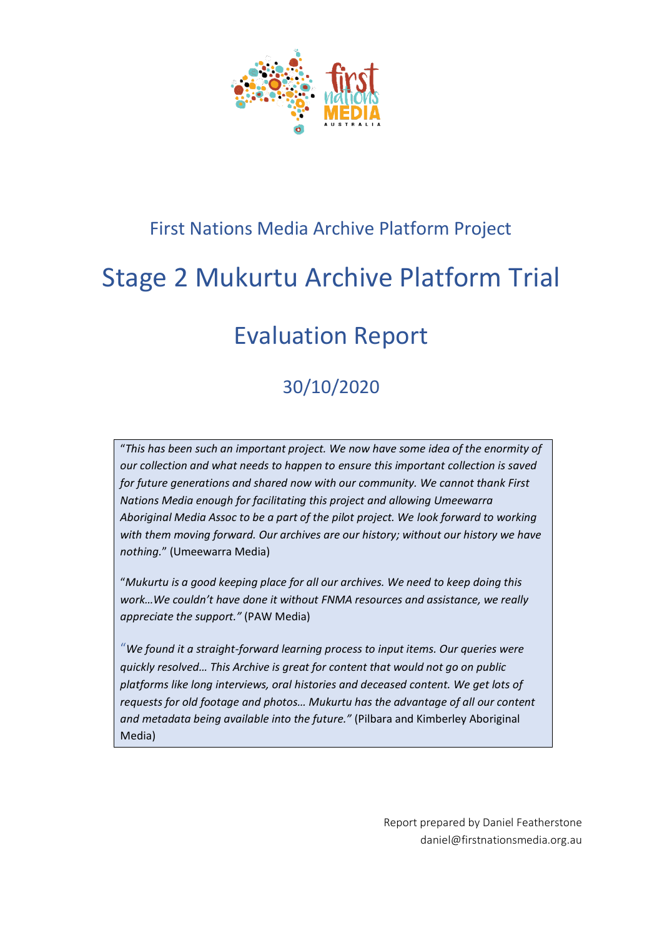

## First Nations Media Archive Platform Project

# Stage 2 Mukurtu Archive Platform Trial

# Evaluation Report

## 30/10/2020

"*This has been such an important project. We now have some idea of the enormity of our collection and what needs to happen to ensure this important collection is saved for future generations and shared now with our community. We cannot thank First Nations Media enough for facilitating this project and allowing Umeewarra Aboriginal Media Assoc to be a part of the pilot project. We look forward to working with them moving forward. Our archives are our history; without our history we have nothing.*" (Umeewarra Media)

"*Mukurtu is a good keeping place for all our archives. We need to keep doing this work…We couldn't have done it without FNMA resources and assistance, we really appreciate the support."* (PAW Media)

"*We found it a straight-forward learning process to input items. Our queries were quickly resolved… This Archive is great for content that would not go on public platforms like long interviews, oral histories and deceased content. We get lots of requests for old footage and photos… Mukurtu has the advantage of all our content and metadata being available into the future."* (Pilbara and Kimberley Aboriginal Media)

> Report prepared by Daniel Featherstone daniel@firstnationsmedia.org.au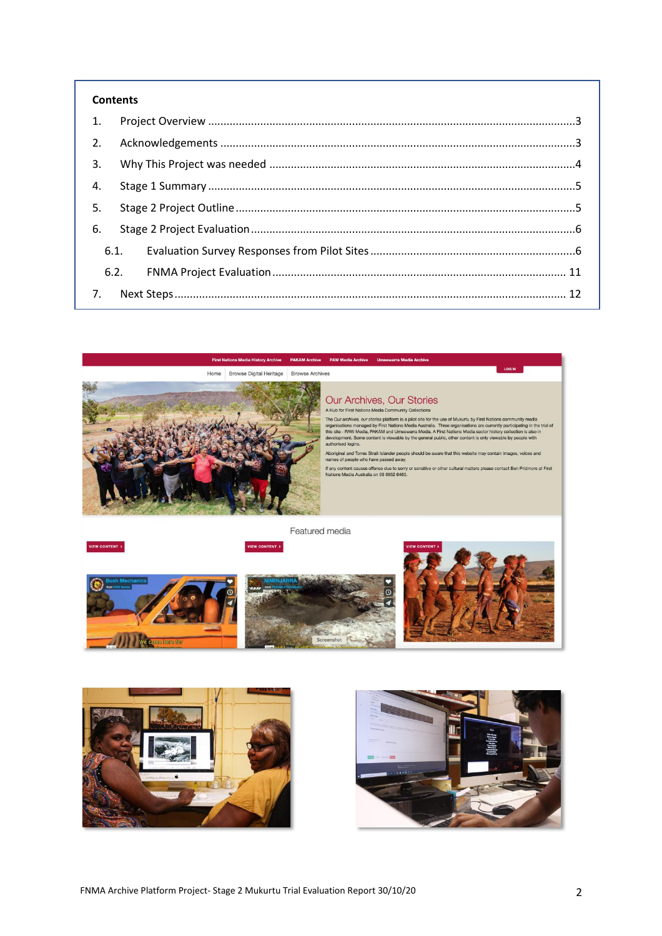#### **Contents**

| 1.             |  |  |  |  |  |
|----------------|--|--|--|--|--|
| 2.             |  |  |  |  |  |
| $\mathbf{3}$ . |  |  |  |  |  |
| 4.             |  |  |  |  |  |
| 5.             |  |  |  |  |  |
| 6.             |  |  |  |  |  |
| 6.1.           |  |  |  |  |  |
| 6.2.           |  |  |  |  |  |
|                |  |  |  |  |  |

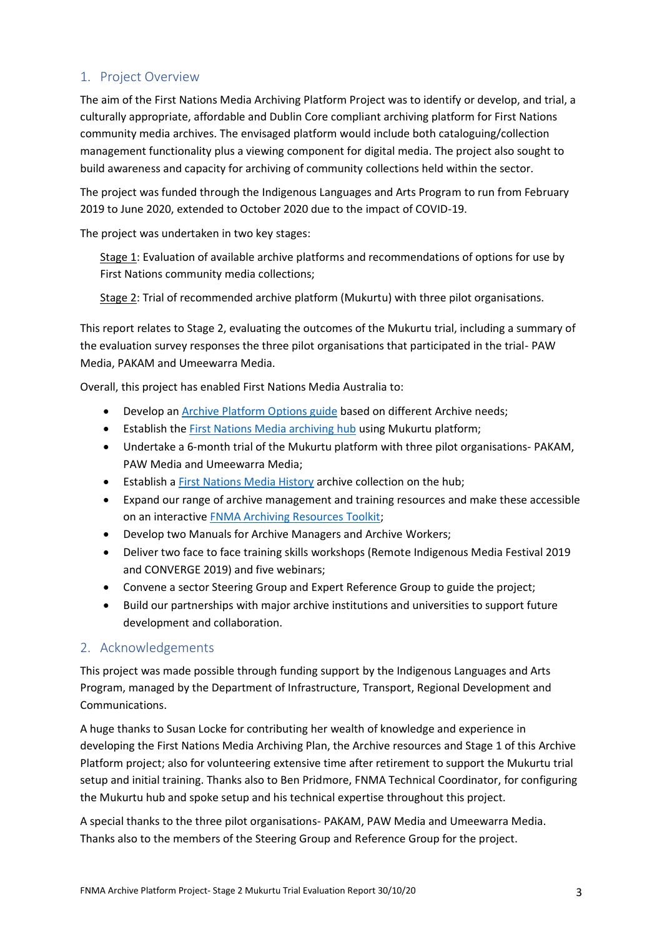## <span id="page-2-0"></span>1. Project Overview

The aim of the First Nations Media Archiving Platform Project was to identify or develop, and trial, a culturally appropriate, affordable and Dublin Core compliant archiving platform for First Nations community media archives. The envisaged platform would include both cataloguing/collection management functionality plus a viewing component for digital media. The project also sought to build awareness and capacity for archiving of community collections held within the sector.

The project was funded through the Indigenous Languages and Arts Program to run from February 2019 to June 2020, extended to October 2020 due to the impact of COVID-19.

The project was undertaken in two key stages:

Stage 1: Evaluation of available archive platforms and recommendations of options for use by First Nations community media collections;

Stage 2: Trial of recommended archive platform (Mukurtu) with three pilot organisations.

This report relates to Stage 2, evaluating the outcomes of the Mukurtu trial, including a summary of the evaluation survey responses the three pilot organisations that participated in the trial- PAW Media, PAKAM and Umeewarra Media.

Overall, this project has enabled First Nations Media Australia to:

- Develop an [Archive Platform Options guide](https://firstnationsmedia.org.au/projects/archiving-project/cataloging-platform-project-2019) based on different Archive needs;
- Establish the **First Nations Media archiving hub** using Mukurtu platform;
- Undertake a 6-month trial of the Mukurtu platform with three pilot organisations- PAKAM, PAW Media and Umeewarra Media;
- Establish [a First Nations Media History](https://archive.firstnationsmedia.org.au/community/first-nations-media-history-archive) archive collection on the hub;
- Expand our range of archive management and training resources and make these accessible on an interactiv[e FNMA Archiving Resources Toolkit;](https://toolkit.firstnationsmedia.org.au/)
- Develop two Manuals for Archive Managers and Archive Workers;
- Deliver two face to face training skills workshops (Remote Indigenous Media Festival 2019 and CONVERGE 2019) and five webinars;
- Convene a sector Steering Group and Expert Reference Group to guide the project;
- Build our partnerships with major archive institutions and universities to support future development and collaboration.

## <span id="page-2-1"></span>2. Acknowledgements

This project was made possible through funding support by the Indigenous Languages and Arts Program, managed by the Department of Infrastructure, Transport, Regional Development and Communications.

A huge thanks to Susan Locke for contributing her wealth of knowledge and experience in developing the First Nations Media Archiving Plan, the Archive resources and Stage 1 of this Archive Platform project; also for volunteering extensive time after retirement to support the Mukurtu trial setup and initial training. Thanks also to Ben Pridmore, FNMA Technical Coordinator, for configuring the Mukurtu hub and spoke setup and his technical expertise throughout this project.

A special thanks to the three pilot organisations- PAKAM, PAW Media and Umeewarra Media. Thanks also to the members of the Steering Group and Reference Group for the project.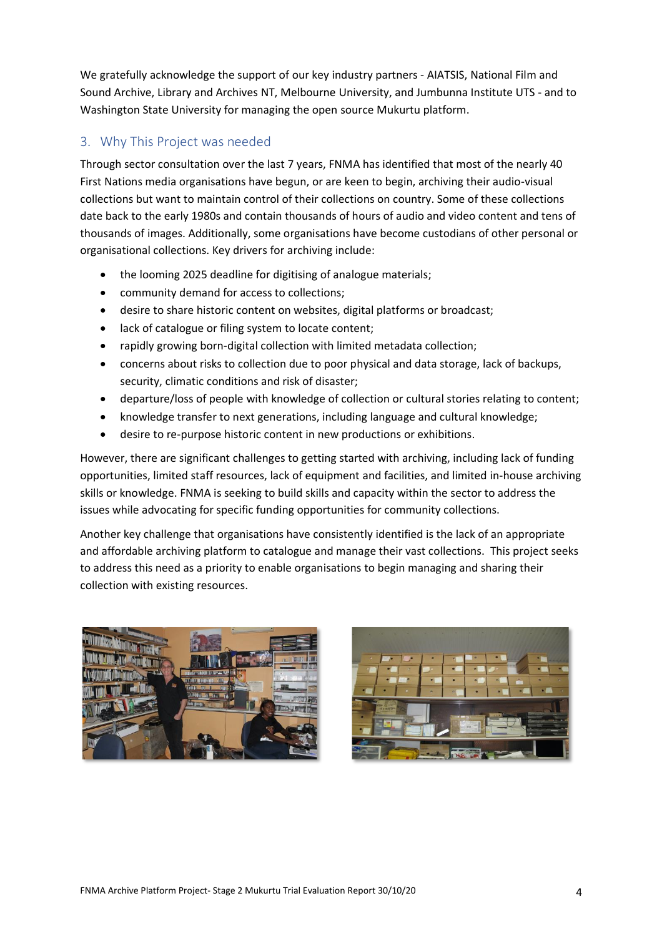We gratefully acknowledge the support of our key industry partners - AIATSIS, National Film and Sound Archive, Library and Archives NT, Melbourne University, and Jumbunna Institute UTS - and to Washington State University for managing the open source Mukurtu platform.

## <span id="page-3-0"></span>3. Why This Project was needed

Through sector consultation over the last 7 years, FNMA has identified that most of the nearly 40 First Nations media organisations have begun, or are keen to begin, archiving their audio-visual collections but want to maintain control of their collections on country. Some of these collections date back to the early 1980s and contain thousands of hours of audio and video content and tens of thousands of images. Additionally, some organisations have become custodians of other personal or organisational collections. Key drivers for archiving include:

- the looming 2025 deadline for digitising of analogue materials;
- community demand for access to collections;
- desire to share historic content on websites, digital platforms or broadcast;
- lack of catalogue or filing system to locate content;
- rapidly growing born-digital collection with limited metadata collection;
- concerns about risks to collection due to poor physical and data storage, lack of backups, security, climatic conditions and risk of disaster;
- departure/loss of people with knowledge of collection or cultural stories relating to content;
- knowledge transfer to next generations, including language and cultural knowledge;
- desire to re-purpose historic content in new productions or exhibitions.

However, there are significant challenges to getting started with archiving, including lack of funding opportunities, limited staff resources, lack of equipment and facilities, and limited in-house archiving skills or knowledge. FNMA is seeking to build skills and capacity within the sector to address the issues while advocating for specific funding opportunities for community collections.

Another key challenge that organisations have consistently identified is the lack of an appropriate and affordable archiving platform to catalogue and manage their vast collections. This project seeks to address this need as a priority to enable organisations to begin managing and sharing their collection with existing resources.



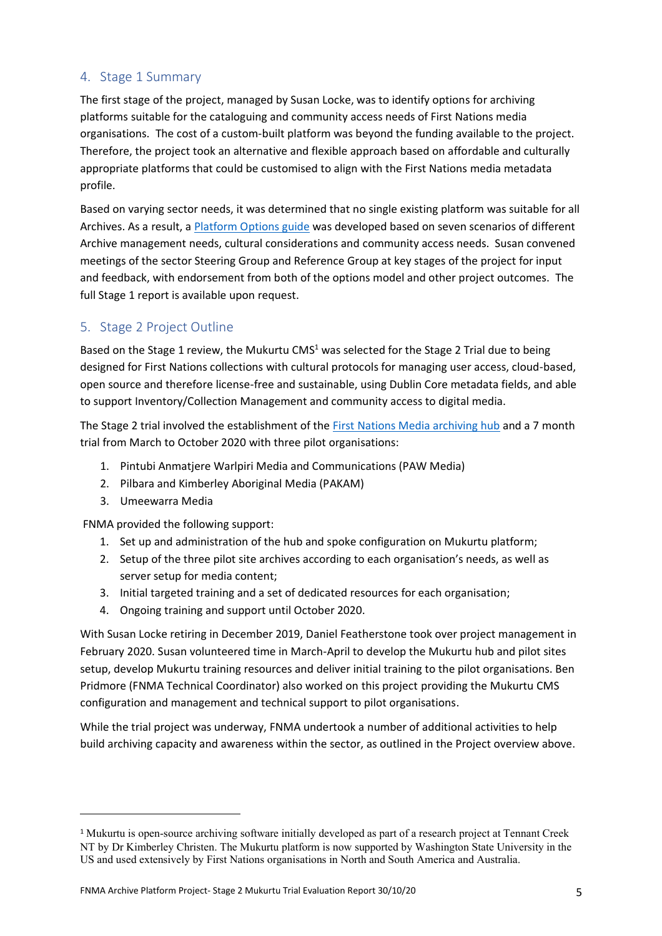## <span id="page-4-0"></span>4. Stage 1 Summary

The first stage of the project, managed by Susan Locke, was to identify options for archiving platforms suitable for the cataloguing and community access needs of First Nations media organisations. The cost of a custom-built platform was beyond the funding available to the project. Therefore, the project took an alternative and flexible approach based on affordable and culturally appropriate platforms that could be customised to align with the First Nations media metadata profile.

Based on varying sector needs, it was determined that no single existing platform was suitable for all Archives. As a result, a [Platform Options guide](https://firstnationsmedia.org.au/sites/default/files/files/Archiving_Resources/Community_Access/FNMA-Platform-SELECTION%20SUMMARY.pdf) was developed based on seven scenarios of different Archive management needs, cultural considerations and community access needs. Susan convened meetings of the sector Steering Group and Reference Group at key stages of the project for input and feedback, with endorsement from both of the options model and other project outcomes. The full Stage 1 report is available upon request.

## <span id="page-4-1"></span>5. Stage 2 Project Outline

Based on the Stage 1 review, the Mukurtu CMS $1$  was selected for the Stage 2 Trial due to being designed for First Nations collections with cultural protocols for managing user access, cloud-based, open source and therefore license-free and sustainable, using Dublin Core metadata fields, and able to support Inventory/Collection Management and community access to digital media.

The Stage 2 trial involved the establishment of the [First Nations Media archiving hub](https://archive.firstnationsmedia.org.au/) and a 7 month trial from March to October 2020 with three pilot organisations:

- 1. Pintubi Anmatjere Warlpiri Media and Communications (PAW Media)
- 2. Pilbara and Kimberley Aboriginal Media (PAKAM)
- 3. Umeewarra Media

FNMA provided the following support:

- 1. Set up and administration of the hub and spoke configuration on Mukurtu platform;
- 2. Setup of the three pilot site archives according to each organisation's needs, as well as server setup for media content;
- 3. Initial targeted training and a set of dedicated resources for each organisation;
- 4. Ongoing training and support until October 2020.

With Susan Locke retiring in December 2019, Daniel Featherstone took over project management in February 2020. Susan volunteered time in March-April to develop the Mukurtu hub and pilot sites setup, develop Mukurtu training resources and deliver initial training to the pilot organisations. Ben Pridmore (FNMA Technical Coordinator) also worked on this project providing the Mukurtu CMS configuration and management and technical support to pilot organisations.

While the trial project was underway, FNMA undertook a number of additional activities to help build archiving capacity and awareness within the sector, as outlined in the Project overview above.

<sup>1</sup> Mukurtu is open-source archiving software initially developed as part of a research project at Tennant Creek NT by Dr Kimberley Christen. The Mukurtu platform is now supported by Washington State University in the US and used extensively by First Nations organisations in North and South America and Australia.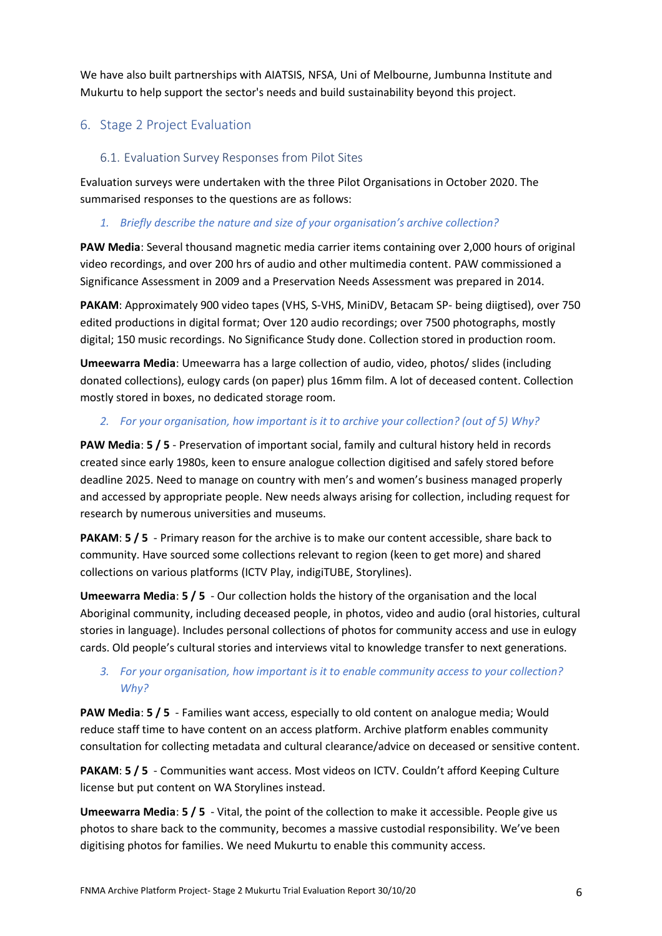We have also built partnerships with AIATSIS, NFSA, Uni of Melbourne, Jumbunna Institute and Mukurtu to help support the sector's needs and build sustainability beyond this project.

## <span id="page-5-0"></span>6. Stage 2 Project Evaluation

## <span id="page-5-1"></span>6.1. Evaluation Survey Responses from Pilot Sites

Evaluation surveys were undertaken with the three Pilot Organisations in October 2020. The summarised responses to the questions are as follows:

### *1. Briefly describe the nature and size of your organisation's archive collection?*

**PAW Media**: Several thousand magnetic media carrier items containing over 2,000 hours of original video recordings, and over 200 hrs of audio and other multimedia content. PAW commissioned a Significance Assessment in 2009 and a Preservation Needs Assessment was prepared in 2014.

**PAKAM**: Approximately 900 video tapes (VHS, S-VHS, MiniDV, Betacam SP- being diigtised), over 750 edited productions in digital format; Over 120 audio recordings; over 7500 photographs, mostly digital; 150 music recordings. No Significance Study done. Collection stored in production room.

**Umeewarra Media**: Umeewarra has a large collection of audio, video, photos/ slides (including donated collections), eulogy cards (on paper) plus 16mm film. A lot of deceased content. Collection mostly stored in boxes, no dedicated storage room.

## *2. For your organisation, how important is it to archive your collection? (out of 5) Why?*

**PAW Media**: **5 / 5** - Preservation of important social, family and cultural history held in records created since early 1980s, keen to ensure analogue collection digitised and safely stored before deadline 2025. Need to manage on country with men's and women's business managed properly and accessed by appropriate people. New needs always arising for collection, including request for research by numerous universities and museums.

**PAKAM**: **5 / 5** - Primary reason for the archive is to make our content accessible, share back to community. Have sourced some collections relevant to region (keen to get more) and shared collections on various platforms (ICTV Play, indigiTUBE, Storylines).

**Umeewarra Media**: **5 / 5** - Our collection holds the history of the organisation and the local Aboriginal community, including deceased people, in photos, video and audio (oral histories, cultural stories in language). Includes personal collections of photos for community access and use in eulogy cards. Old people's cultural stories and interviews vital to knowledge transfer to next generations.

## *3. For your organisation, how important is it to enable community access to your collection? Why?*

**PAW Media**: **5 / 5** - Families want access, especially to old content on analogue media; Would reduce staff time to have content on an access platform. Archive platform enables community consultation for collecting metadata and cultural clearance/advice on deceased or sensitive content.

**PAKAM**: **5 / 5** - Communities want access. Most videos on ICTV. Couldn't afford Keeping Culture license but put content on WA Storylines instead.

**Umeewarra Media**: **5 / 5** - Vital, the point of the collection to make it accessible. People give us photos to share back to the community, becomes a massive custodial responsibility. We've been digitising photos for families. We need Mukurtu to enable this community access.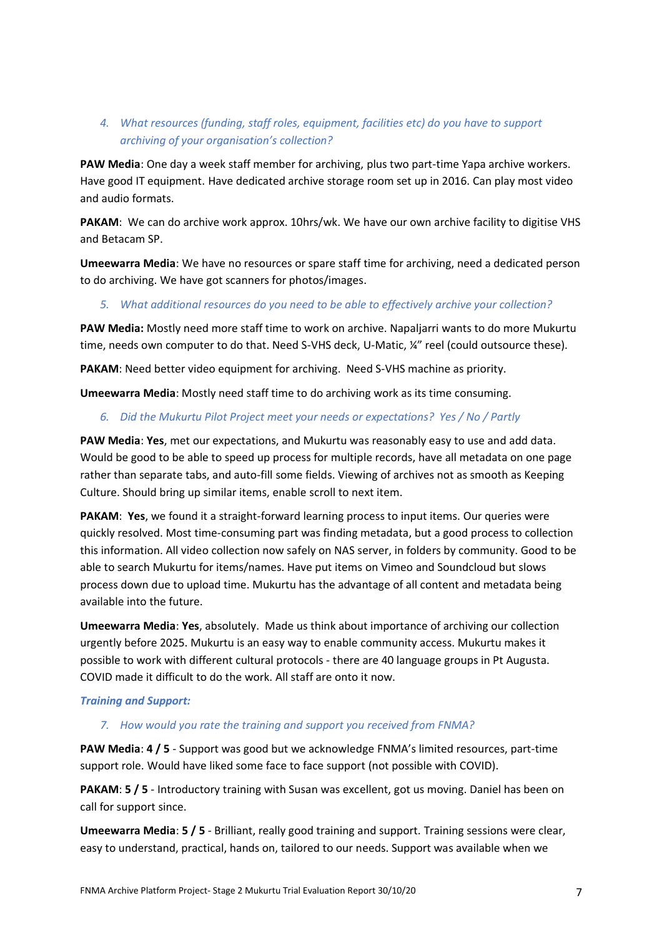## *4. What resources (funding, staff roles, equipment, facilities etc) do you have to support archiving of your organisation's collection?*

**PAW Media**: One day a week staff member for archiving, plus two part-time Yapa archive workers. Have good IT equipment. Have dedicated archive storage room set up in 2016. Can play most video and audio formats.

PAKAM: We can do archive work approx. 10hrs/wk. We have our own archive facility to digitise VHS and Betacam SP.

**Umeewarra Media**: We have no resources or spare staff time for archiving, need a dedicated person to do archiving. We have got scanners for photos/images.

#### *5. What additional resources do you need to be able to effectively archive your collection?*

**PAW Media:** Mostly need more staff time to work on archive. Napaljarri wants to do more Mukurtu time, needs own computer to do that. Need S-VHS deck, U-Matic, ¼" reel (could outsource these).

**PAKAM**: Need better video equipment for archiving. Need S-VHS machine as priority.

**Umeewarra Media**: Mostly need staff time to do archiving work as its time consuming.

#### *6. Did the Mukurtu Pilot Project meet your needs or expectations? Yes / No / Partly*

**PAW Media**: **Yes**, met our expectations, and Mukurtu was reasonably easy to use and add data. Would be good to be able to speed up process for multiple records, have all metadata on one page rather than separate tabs, and auto-fill some fields. Viewing of archives not as smooth as Keeping Culture. Should bring up similar items, enable scroll to next item.

**PAKAM**: **Yes**, we found it a straight-forward learning process to input items. Our queries were quickly resolved. Most time-consuming part was finding metadata, but a good process to collection this information. All video collection now safely on NAS server, in folders by community. Good to be able to search Mukurtu for items/names. Have put items on Vimeo and Soundcloud but slows process down due to upload time. Mukurtu has the advantage of all content and metadata being available into the future.

**Umeewarra Media**: **Yes**, absolutely. Made us think about importance of archiving our collection urgently before 2025. Mukurtu is an easy way to enable community access. Mukurtu makes it possible to work with different cultural protocols - there are 40 language groups in Pt Augusta. COVID made it difficult to do the work. All staff are onto it now.

#### *Training and Support:*

#### *7. How would you rate the training and support you received from FNMA?*

**PAW Media**: **4 / 5** - Support was good but we acknowledge FNMA's limited resources, part-time support role. Would have liked some face to face support (not possible with COVID).

**PAKAM**: **5 / 5** - Introductory training with Susan was excellent, got us moving. Daniel has been on call for support since.

**Umeewarra Media**: **5 / 5** - Brilliant, really good training and support. Training sessions were clear, easy to understand, practical, hands on, tailored to our needs. Support was available when we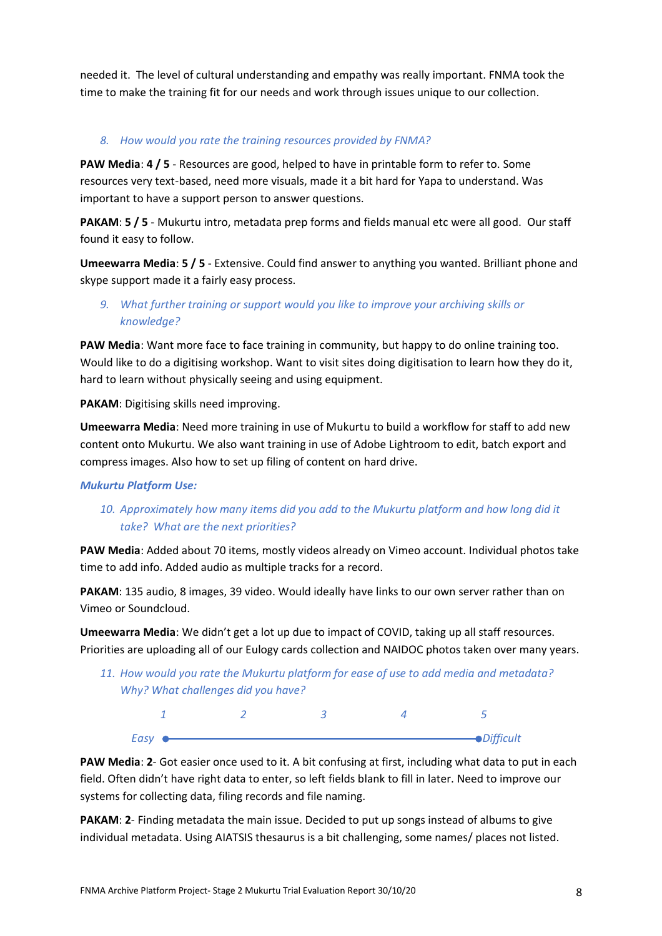needed it. The level of cultural understanding and empathy was really important. FNMA took the time to make the training fit for our needs and work through issues unique to our collection.

#### *8. How would you rate the training resources provided by FNMA?*

**PAW Media**: **4 / 5** - Resources are good, helped to have in printable form to refer to. Some resources very text-based, need more visuals, made it a bit hard for Yapa to understand. Was important to have a support person to answer questions.

**PAKAM**: **5 / 5** - Mukurtu intro, metadata prep forms and fields manual etc were all good. Our staff found it easy to follow.

**Umeewarra Media**: **5 / 5** - Extensive. Could find answer to anything you wanted. Brilliant phone and skype support made it a fairly easy process.

*9. What further training or support would you like to improve your archiving skills or knowledge?*

**PAW Media**: Want more face to face training in community, but happy to do online training too. Would like to do a digitising workshop. Want to visit sites doing digitisation to learn how they do it, hard to learn without physically seeing and using equipment.

**PAKAM**: Digitising skills need improving.

**Umeewarra Media**: Need more training in use of Mukurtu to build a workflow for staff to add new content onto Mukurtu. We also want training in use of Adobe Lightroom to edit, batch export and compress images. Also how to set up filing of content on hard drive.

#### *Mukurtu Platform Use:*

## *10. Approximately how many items did you add to the Mukurtu platform and how long did it take? What are the next priorities?*

**PAW Media**: Added about 70 items, mostly videos already on Vimeo account. Individual photos take time to add info. Added audio as multiple tracks for a record.

**PAKAM**: 135 audio, 8 images, 39 video. Would ideally have links to our own server rather than on Vimeo or Soundcloud.

**Umeewarra Media**: We didn't get a lot up due to impact of COVID, taking up all staff resources. Priorities are uploading all of our Eulogy cards collection and NAIDOC photos taken over many years.

*11. How would you rate the Mukurtu platform for ease of use to add media and metadata? Why? What challenges did you have?*

| Easy |  | <b>-</b> Difficult |
|------|--|--------------------|

**PAW Media**: **2**- Got easier once used to it. A bit confusing at first, including what data to put in each field. Often didn't have right data to enter, so left fields blank to fill in later. Need to improve our systems for collecting data, filing records and file naming.

**PAKAM**: **2**- Finding metadata the main issue. Decided to put up songs instead of albums to give individual metadata. Using AIATSIS thesaurus is a bit challenging, some names/ places not listed.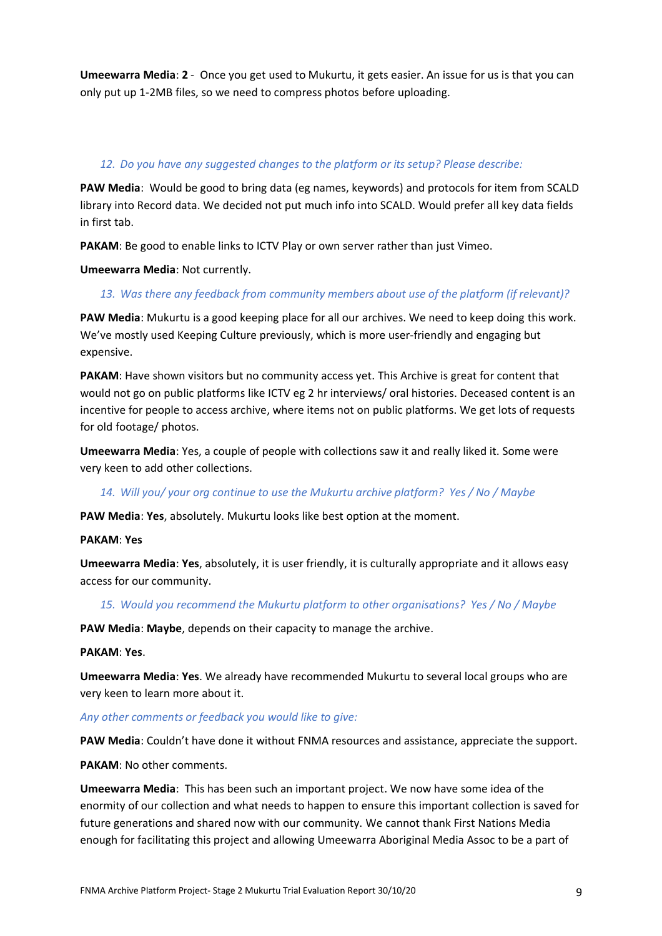**Umeewarra Media**: **2** - Once you get used to Mukurtu, it gets easier. An issue for us is that you can only put up 1-2MB files, so we need to compress photos before uploading.

#### *12. Do you have any suggested changes to the platform or its setup? Please describe:*

**PAW Media**: Would be good to bring data (eg names, keywords) and protocols for item from SCALD library into Record data. We decided not put much info into SCALD. Would prefer all key data fields in first tab.

**PAKAM**: Be good to enable links to ICTV Play or own server rather than just Vimeo.

**Umeewarra Media**: Not currently.

#### *13. Was there any feedback from community members about use of the platform (if relevant)?*

**PAW Media**: Mukurtu is a good keeping place for all our archives. We need to keep doing this work. We've mostly used Keeping Culture previously, which is more user-friendly and engaging but expensive.

**PAKAM**: Have shown visitors but no community access yet. This Archive is great for content that would not go on public platforms like ICTV eg 2 hr interviews/ oral histories. Deceased content is an incentive for people to access archive, where items not on public platforms. We get lots of requests for old footage/ photos.

**Umeewarra Media**: Yes, a couple of people with collections saw it and really liked it. Some were very keen to add other collections.

#### *14. Will you/ your org continue to use the Mukurtu archive platform? Yes / No / Maybe*

**PAW Media**: **Yes**, absolutely. Mukurtu looks like best option at the moment.

#### **PAKAM**: **Yes**

**Umeewarra Media**: **Yes**, absolutely, it is user friendly, it is culturally appropriate and it allows easy access for our community.

#### *15. Would you recommend the Mukurtu platform to other organisations? Yes / No / Maybe*

**PAW Media**: **Maybe**, depends on their capacity to manage the archive.

#### **PAKAM**: **Yes**.

**Umeewarra Media**: **Yes**. We already have recommended Mukurtu to several local groups who are very keen to learn more about it.

#### *Any other comments or feedback you would like to give:*

**PAW Media**: Couldn't have done it without FNMA resources and assistance, appreciate the support.

#### **PAKAM**: No other comments.

**Umeewarra Media**: This has been such an important project. We now have some idea of the enormity of our collection and what needs to happen to ensure this important collection is saved for future generations and shared now with our community. We cannot thank First Nations Media enough for facilitating this project and allowing Umeewarra Aboriginal Media Assoc to be a part of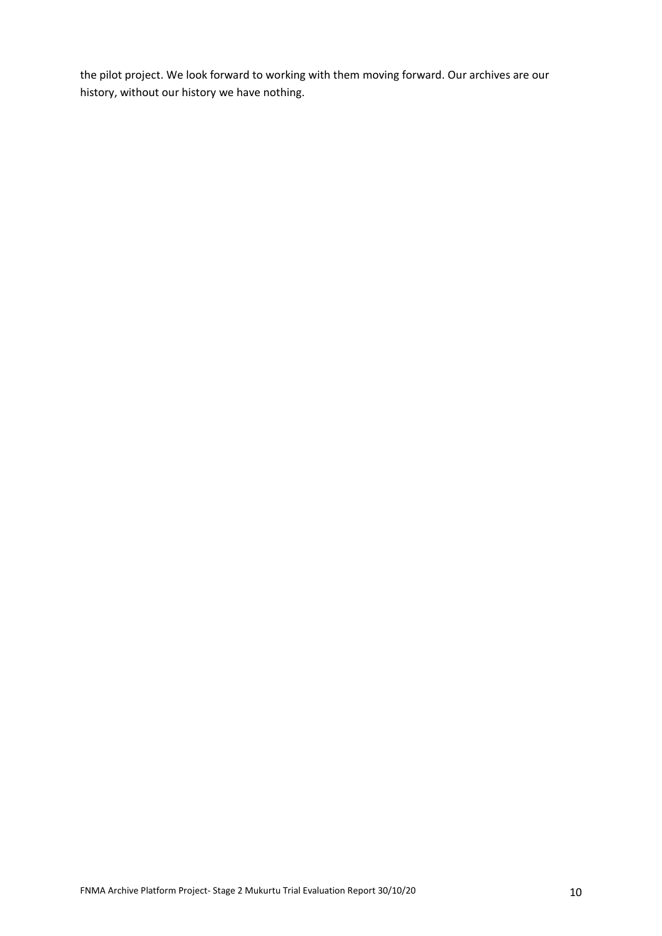the pilot project. We look forward to working with them moving forward. Our archives are our history, without our history we have nothing.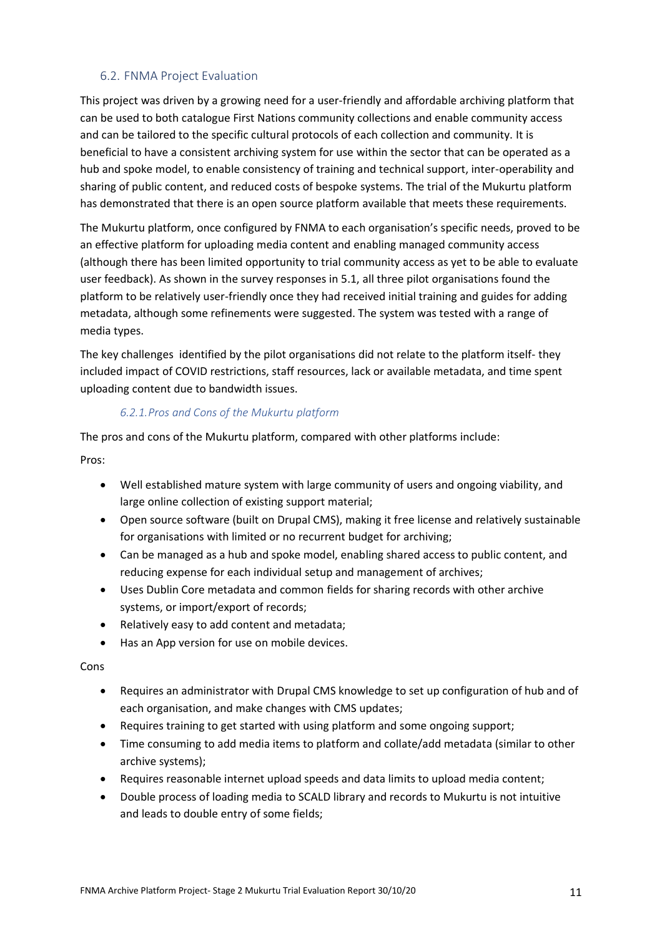#### <span id="page-10-0"></span>6.2. FNMA Project Evaluation

This project was driven by a growing need for a user-friendly and affordable archiving platform that can be used to both catalogue First Nations community collections and enable community access and can be tailored to the specific cultural protocols of each collection and community. It is beneficial to have a consistent archiving system for use within the sector that can be operated as a hub and spoke model, to enable consistency of training and technical support, inter-operability and sharing of public content, and reduced costs of bespoke systems. The trial of the Mukurtu platform has demonstrated that there is an open source platform available that meets these requirements.

The Mukurtu platform, once configured by FNMA to each organisation's specific needs, proved to be an effective platform for uploading media content and enabling managed community access (although there has been limited opportunity to trial community access as yet to be able to evaluate user feedback). As shown in the survey responses in 5.1, all three pilot organisations found the platform to be relatively user-friendly once they had received initial training and guides for adding metadata, although some refinements were suggested. The system was tested with a range of media types.

The key challenges identified by the pilot organisations did not relate to the platform itself- they included impact of COVID restrictions, staff resources, lack or available metadata, and time spent uploading content due to bandwidth issues.

#### *6.2.1.Pros and Cons of the Mukurtu platform*

The pros and cons of the Mukurtu platform, compared with other platforms include:

Pros:

- Well established mature system with large community of users and ongoing viability, and large online collection of existing support material;
- Open source software (built on Drupal CMS), making it free license and relatively sustainable for organisations with limited or no recurrent budget for archiving;
- Can be managed as a hub and spoke model, enabling shared access to public content, and reducing expense for each individual setup and management of archives;
- Uses Dublin Core metadata and common fields for sharing records with other archive systems, or import/export of records;
- Relatively easy to add content and metadata;
- Has an App version for use on mobile devices.

Cons

- Requires an administrator with Drupal CMS knowledge to set up configuration of hub and of each organisation, and make changes with CMS updates;
- Requires training to get started with using platform and some ongoing support;
- Time consuming to add media items to platform and collate/add metadata (similar to other archive systems);
- Requires reasonable internet upload speeds and data limits to upload media content;
- Double process of loading media to SCALD library and records to Mukurtu is not intuitive and leads to double entry of some fields;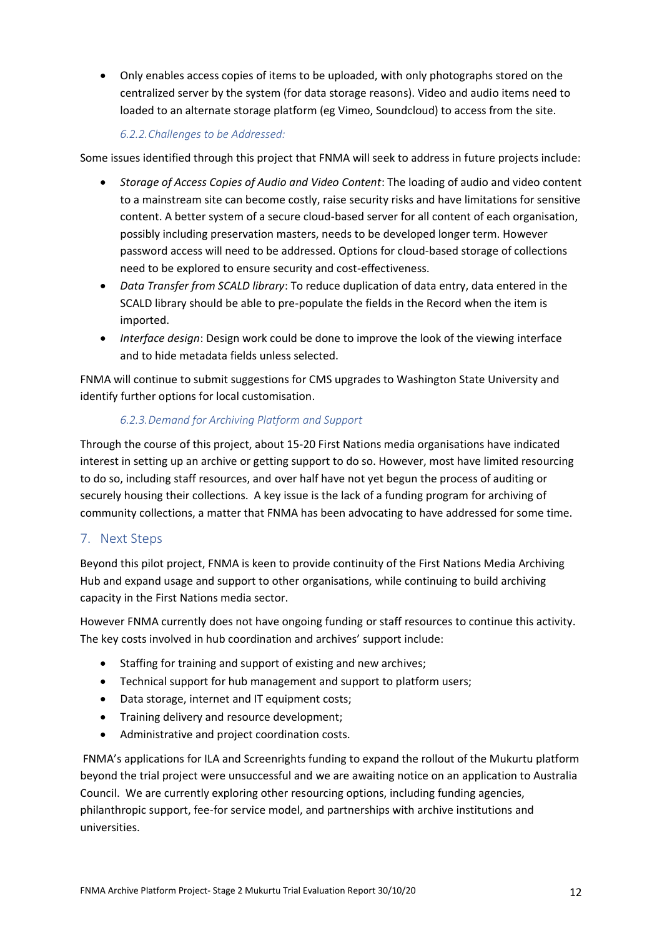• Only enables access copies of items to be uploaded, with only photographs stored on the centralized server by the system (for data storage reasons). Video and audio items need to loaded to an alternate storage platform (eg Vimeo, Soundcloud) to access from the site.

#### *6.2.2.Challenges to be Addressed:*

Some issues identified through this project that FNMA will seek to address in future projects include:

- *Storage of Access Copies of Audio and Video Content*: The loading of audio and video content to a mainstream site can become costly, raise security risks and have limitations for sensitive content. A better system of a secure cloud-based server for all content of each organisation, possibly including preservation masters, needs to be developed longer term. However password access will need to be addressed. Options for cloud-based storage of collections need to be explored to ensure security and cost-effectiveness.
- *Data Transfer from SCALD library*: To reduce duplication of data entry, data entered in the SCALD library should be able to pre-populate the fields in the Record when the item is imported.
- *Interface design*: Design work could be done to improve the look of the viewing interface and to hide metadata fields unless selected.

FNMA will continue to submit suggestions for CMS upgrades to Washington State University and identify further options for local customisation.

## *6.2.3.Demand for Archiving Platform and Support*

Through the course of this project, about 15-20 First Nations media organisations have indicated interest in setting up an archive or getting support to do so. However, most have limited resourcing to do so, including staff resources, and over half have not yet begun the process of auditing or securely housing their collections. A key issue is the lack of a funding program for archiving of community collections, a matter that FNMA has been advocating to have addressed for some time.

## <span id="page-11-0"></span>7. Next Steps

Beyond this pilot project, FNMA is keen to provide continuity of the First Nations Media Archiving Hub and expand usage and support to other organisations, while continuing to build archiving capacity in the First Nations media sector.

However FNMA currently does not have ongoing funding or staff resources to continue this activity. The key costs involved in hub coordination and archives' support include:

- Staffing for training and support of existing and new archives;
- Technical support for hub management and support to platform users;
- Data storage, internet and IT equipment costs;
- Training delivery and resource development;
- Administrative and project coordination costs.

FNMA's applications for ILA and Screenrights funding to expand the rollout of the Mukurtu platform beyond the trial project were unsuccessful and we are awaiting notice on an application to Australia Council. We are currently exploring other resourcing options, including funding agencies, philanthropic support, fee-for service model, and partnerships with archive institutions and universities.